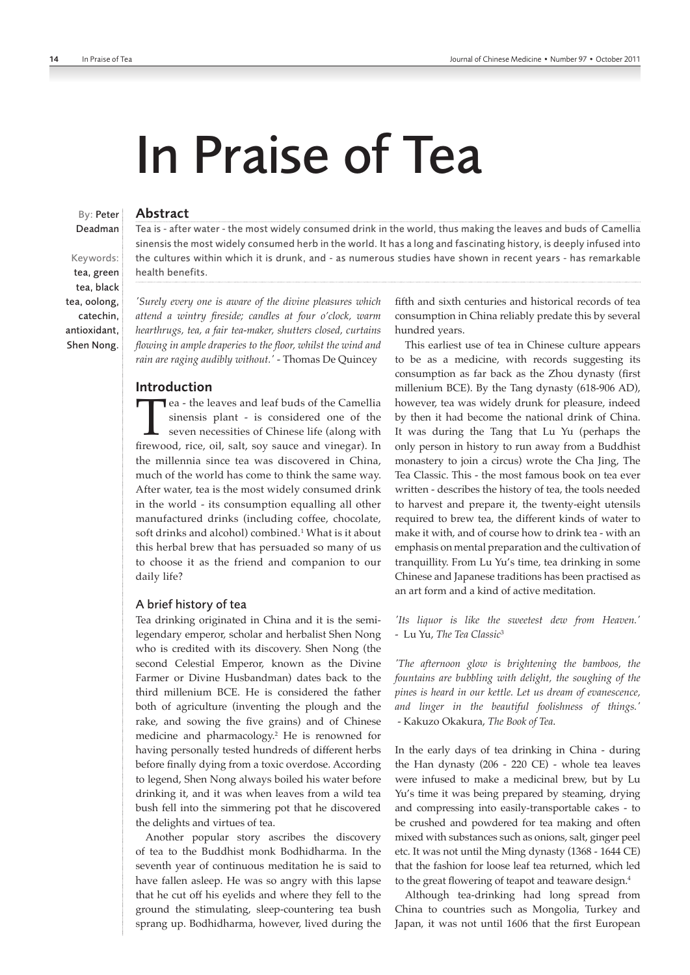# In Praise of Tea

## Abstract

Tea is - after water - the most widely consumed drink in the world, thus making the leaves and buds of Camellia sinensis the most widely consumed herb in the world. It has a long and fascinating history, is deeply infused into the cultures within which it is drunk, and - as numerous studies have shown in recent years - has remarkable health benefits.

tea, green tea, black tea, oolong, catechin,

antioxidant, Shen Nong.

Keywords:

By: Peter Deadman

> *'Surely every one is aware of the divine pleasures which attend a wintry fireside; candles at four o'clock, warm hearthrugs, tea, a fair tea-maker, shutters closed, curtains flowing in ample draperies to the floor, whilst the wind and rain are raging audibly without.'* - Thomas De Quincey

# Introduction

**The a** - the leaves and leaf buds of the Camellia sinensis plant - is considered one of the seven necessities of Chinese life (along with firewood, rice, oil, salt, soy sauce and vinegar). In sinensis plant - is considered one of the seven necessities of Chinese life (along with firewood, rice, oil, salt, soy sauce and vinegar). In the millennia since tea was discovered in China, much of the world has come to think the same way. After water, tea is the most widely consumed drink in the world - its consumption equalling all other manufactured drinks (including coffee, chocolate, soft drinks and alcohol) combined.<sup>1</sup> What is it about this herbal brew that has persuaded so many of us to choose it as the friend and companion to our daily life?

#### A brief history of tea

Tea drinking originated in China and it is the semilegendary emperor, scholar and herbalist Shen Nong who is credited with its discovery. Shen Nong (the second Celestial Emperor, known as the Divine Farmer or Divine Husbandman) dates back to the third millenium BCE. He is considered the father both of agriculture (inventing the plough and the rake, and sowing the five grains) and of Chinese medicine and pharmacology.<sup>2</sup> He is renowned for having personally tested hundreds of different herbs before finally dying from a toxic overdose. According to legend, Shen Nong always boiled his water before drinking it, and it was when leaves from a wild tea bush fell into the simmering pot that he discovered the delights and virtues of tea.

Another popular story ascribes the discovery of tea to the Buddhist monk Bodhidharma. In the seventh year of continuous meditation he is said to have fallen asleep. He was so angry with this lapse that he cut off his eyelids and where they fell to the ground the stimulating, sleep-countering tea bush sprang up. Bodhidharma, however, lived during the

fifth and sixth centuries and historical records of tea consumption in China reliably predate this by several hundred years.

This earliest use of tea in Chinese culture appears to be as a medicine, with records suggesting its consumption as far back as the Zhou dynasty (first millenium BCE). By the Tang dynasty (618-906 AD), however, tea was widely drunk for pleasure, indeed by then it had become the national drink of China. It was during the Tang that Lu Yu (perhaps the only person in history to run away from a Buddhist monastery to join a circus) wrote the Cha Jing, The Tea Classic. This - the most famous book on tea ever written - describes the history of tea, the tools needed to harvest and prepare it, the twenty-eight utensils required to brew tea, the different kinds of water to make it with, and of course how to drink tea - with an emphasis on mental preparation and the cultivation of tranquillity. From Lu Yu's time, tea drinking in some Chinese and Japanese traditions has been practised as an art form and a kind of active meditation.

*'Its liquor is like the sweetest dew from Heaven.'* - Lu Yu, *The Tea Classic*<sup>3</sup>

*'The afternoon glow is brightening the bamboos, the fountains are bubbling with delight, the soughing of the pines is heard in our kettle. Let us dream of evanescence, and linger in the beautiful foolishness of things.'* - Kakuzo Okakura, *The Book of Tea*.

In the early days of tea drinking in China - during the Han dynasty (206 - 220 CE) - whole tea leaves were infused to make a medicinal brew, but by Lu Yu's time it was being prepared by steaming, drying and compressing into easily-transportable cakes - to be crushed and powdered for tea making and often mixed with substances such as onions, salt, ginger peel etc. It was not until the Ming dynasty (1368 - 1644 CE) that the fashion for loose leaf tea returned, which led to the great flowering of teapot and teaware design.4

Although tea-drinking had long spread from China to countries such as Mongolia, Turkey and Japan, it was not until 1606 that the first European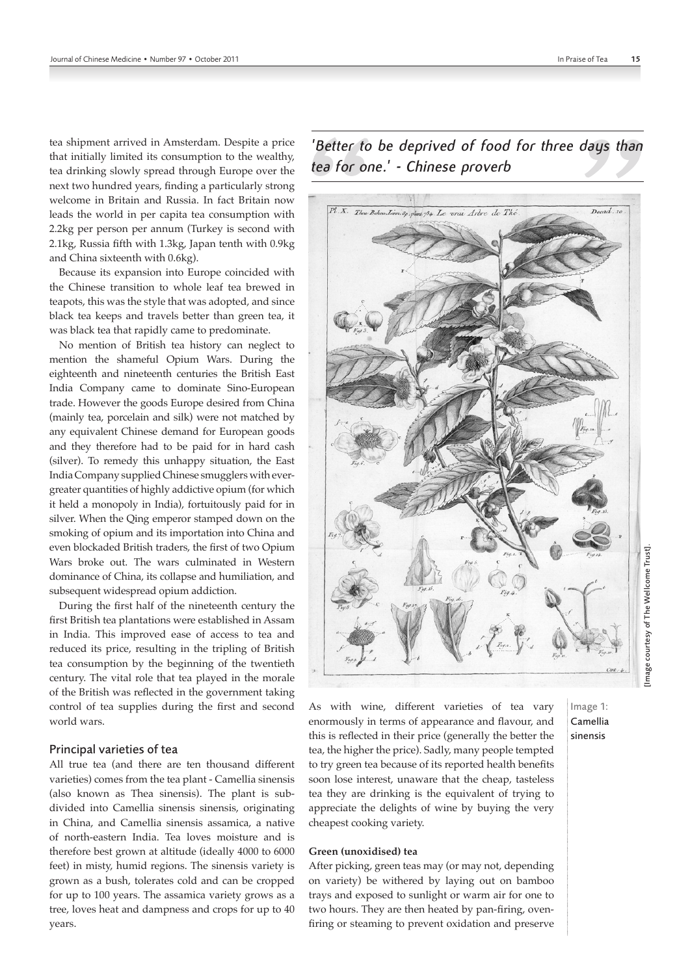tea shipment arrived in Amsterdam. Despite a price that initially limited its consumption to the wealthy, tea drinking slowly spread through Europe over the next two hundred years, finding a particularly strong welcome in Britain and Russia. In fact Britain now leads the world in per capita tea consumption with 2.2kg per person per annum (Turkey is second with 2.1kg, Russia fifth with 1.3kg, Japan tenth with 0.9kg and China sixteenth with 0.6kg).

Because its expansion into Europe coincided with the Chinese transition to whole leaf tea brewed in teapots, this was the style that was adopted, and since black tea keeps and travels better than green tea, it was black tea that rapidly came to predominate.

No mention of British tea history can neglect to mention the shameful Opium Wars. During the eighteenth and nineteenth centuries the British East India Company came to dominate Sino-European trade. However the goods Europe desired from China (mainly tea, porcelain and silk) were not matched by any equivalent Chinese demand for European goods and they therefore had to be paid for in hard cash (silver). To remedy this unhappy situation, the East India Company supplied Chinese smugglers with evergreater quantities of highly addictive opium (for which it held a monopoly in India), fortuitously paid for in silver. When the Qing emperor stamped down on the smoking of opium and its importation into China and even blockaded British traders, the first of two Opium Wars broke out. The wars culminated in Western dominance of China, its collapse and humiliation, and subsequent widespread opium addiction.

During the first half of the nineteenth century the first British tea plantations were established in Assam in India. This improved ease of access to tea and reduced its price, resulting in the tripling of British tea consumption by the beginning of the twentieth century. The vital role that tea played in the morale of the British was reflected in the government taking control of tea supplies during the first and second world wars.

## Principal varieties of tea

All true tea (and there are ten thousand different varieties) comes from the tea plant - Camellia sinensis (also known as Thea sinensis). The plant is subdivided into Camellia sinensis sinensis, originating in China, and Camellia sinensis assamica, a native of north-eastern India. Tea loves moisture and is therefore best grown at altitude (ideally 4000 to 6000 feet) in misty, humid regions. The sinensis variety is grown as a bush, tolerates cold and can be cropped for up to 100 years. The assamica variety grows as a tree, loves heat and dampness and crops for up to 40 years.

Decad. 10 Pl.X. Thea Bohea Linn. Sp. plant 734. Le vrai Arbre de The

*'Better to be deprived of food for three days than tea for one.' - Chinese proverb*

As with wine, different varieties of tea vary enormously in terms of appearance and flavour, and this is reflected in their price (generally the better the tea, the higher the price). Sadly, many people tempted to try green tea because of its reported health benefits soon lose interest, unaware that the cheap, tasteless tea they are drinking is the equivalent of trying to appreciate the delights of wine by buying the very cheapest cooking variety.

#### **Green (unoxidised) tea**

After picking, green teas may (or may not, depending on variety) be withered by laying out on bamboo trays and exposed to sunlight or warm air for one to two hours. They are then heated by pan-firing, ovenfiring or steaming to prevent oxidation and preserve

# Image 1: Camellia sinensis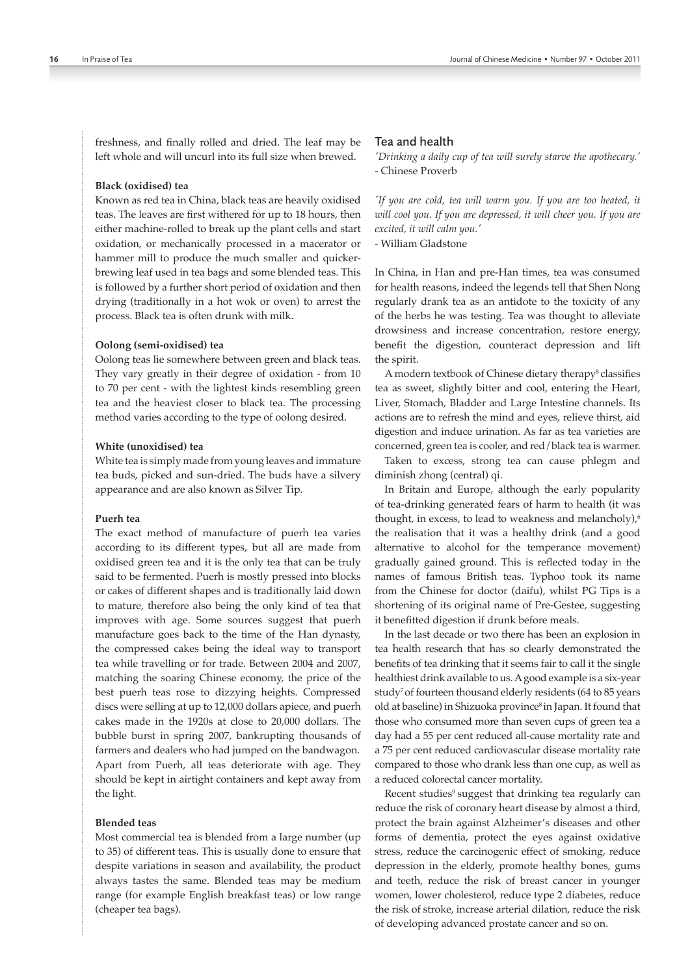freshness, and finally rolled and dried. The leaf may be left whole and will uncurl into its full size when brewed.

#### **Black (oxidised) tea**

Known as red tea in China, black teas are heavily oxidised teas. The leaves are first withered for up to 18 hours, then either machine-rolled to break up the plant cells and start oxidation, or mechanically processed in a macerator or hammer mill to produce the much smaller and quickerbrewing leaf used in tea bags and some blended teas. This is followed by a further short period of oxidation and then drying (traditionally in a hot wok or oven) to arrest the process. Black tea is often drunk with milk.

#### **Oolong (semi-oxidised) tea**

Oolong teas lie somewhere between green and black teas. They vary greatly in their degree of oxidation - from 10 to 70 per cent - with the lightest kinds resembling green tea and the heaviest closer to black tea. The processing method varies according to the type of oolong desired.

## **White (unoxidised) tea**

White tea is simply made from young leaves and immature tea buds, picked and sun-dried. The buds have a silvery appearance and are also known as Silver Tip.

#### **Puerh tea**

The exact method of manufacture of puerh tea varies according to its different types, but all are made from oxidised green tea and it is the only tea that can be truly said to be fermented. Puerh is mostly pressed into blocks or cakes of different shapes and is traditionally laid down to mature, therefore also being the only kind of tea that improves with age. Some sources suggest that puerh manufacture goes back to the time of the Han dynasty, the compressed cakes being the ideal way to transport tea while travelling or for trade. Between 2004 and 2007, matching the soaring Chinese economy, the price of the best puerh teas rose to dizzying heights. Compressed discs were selling at up to 12,000 dollars apiece, and puerh cakes made in the 1920s at close to 20,000 dollars. The bubble burst in spring 2007, bankrupting thousands of farmers and dealers who had jumped on the bandwagon. Apart from Puerh, all teas deteriorate with age. They should be kept in airtight containers and kept away from the light.

## **Blended teas**

Most commercial tea is blended from a large number (up to 35) of different teas. This is usually done to ensure that despite variations in season and availability, the product always tastes the same. Blended teas may be medium range (for example English breakfast teas) or low range (cheaper tea bags).

## Tea and health

*'Drinking a daily cup of tea will surely starve the apothecary.'* - Chinese Proverb

*'If you are cold, tea will warm you. If you are too heated, it will cool you. If you are depressed, it will cheer you. If you are excited, it will calm you.'* 

- William Gladstone

In China, in Han and pre-Han times, tea was consumed for health reasons, indeed the legends tell that Shen Nong regularly drank tea as an antidote to the toxicity of any of the herbs he was testing. Tea was thought to alleviate drowsiness and increase concentration, restore energy, benefit the digestion, counteract depression and lift the spirit.

A modern textbook of Chinese dietary therapy<sup>5</sup> classifies tea as sweet, slightly bitter and cool, entering the Heart, Liver, Stomach, Bladder and Large Intestine channels. Its actions are to refresh the mind and eyes, relieve thirst, aid digestion and induce urination. As far as tea varieties are concerned, green tea is cooler, and red/black tea is warmer.

Taken to excess, strong tea can cause phlegm and diminish zhong (central) qi.

In Britain and Europe, although the early popularity of tea-drinking generated fears of harm to health (it was thought, in excess, to lead to weakness and melancholy),<sup>6</sup> the realisation that it was a healthy drink (and a good alternative to alcohol for the temperance movement) gradually gained ground. This is reflected today in the names of famous British teas. Typhoo took its name from the Chinese for doctor (daifu), whilst PG Tips is a shortening of its original name of Pre-Gestee, suggesting it benefitted digestion if drunk before meals.

In the last decade or two there has been an explosion in tea health research that has so clearly demonstrated the benefits of tea drinking that it seems fair to call it the single healthiest drink available to us. A good example is a six-year study<sup>7</sup> of fourteen thousand elderly residents (64 to 85 years old at baseline) in Shizuoka province<sup>8</sup> in Japan. It found that those who consumed more than seven cups of green tea a day had a 55 per cent reduced all-cause mortality rate and a 75 per cent reduced cardiovascular disease mortality rate compared to those who drank less than one cup, as well as a reduced colorectal cancer mortality.

Recent studies<sup>9</sup> suggest that drinking tea regularly can reduce the risk of coronary heart disease by almost a third, protect the brain against Alzheimer's diseases and other forms of dementia, protect the eyes against oxidative stress, reduce the carcinogenic effect of smoking, reduce depression in the elderly, promote healthy bones, gums and teeth, reduce the risk of breast cancer in younger women, lower cholesterol, reduce type 2 diabetes, reduce the risk of stroke, increase arterial dilation, reduce the risk of developing advanced prostate cancer and so on.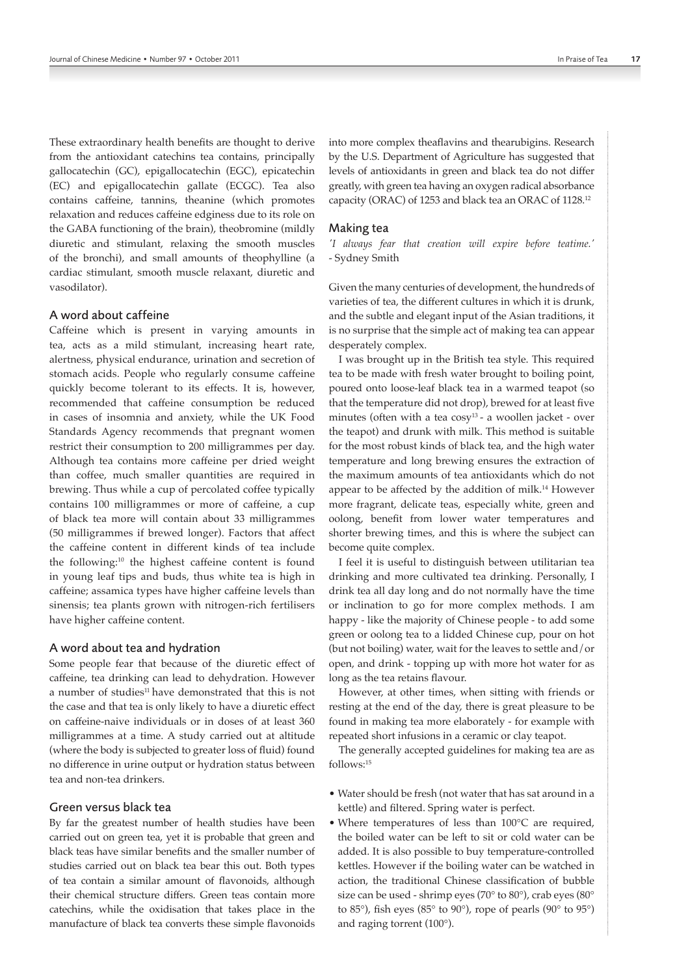These extraordinary health benefits are thought to derive from the antioxidant catechins tea contains, principally gallocatechin (GC), epigallocatechin (EGC), epicatechin (EC) and epigallocatechin gallate (ECGC). Tea also contains caffeine, tannins, theanine (which promotes relaxation and reduces caffeine edginess due to its role on the GABA functioning of the brain), theobromine (mildly diuretic and stimulant, relaxing the smooth muscles of the bronchi), and small amounts of theophylline (a cardiac stimulant, smooth muscle relaxant, diuretic and vasodilator).

# A word about caffeine

Caffeine which is present in varying amounts in tea, acts as a mild stimulant, increasing heart rate, alertness, physical endurance, urination and secretion of stomach acids. People who regularly consume caffeine quickly become tolerant to its effects. It is, however, recommended that caffeine consumption be reduced in cases of insomnia and anxiety, while the UK Food Standards Agency recommends that pregnant women restrict their consumption to 200 milligrammes per day. Although tea contains more caffeine per dried weight than coffee, much smaller quantities are required in brewing. Thus while a cup of percolated coffee typically contains 100 milligrammes or more of caffeine, a cup of black tea more will contain about 33 milligrammes (50 milligrammes if brewed longer). Factors that affect the caffeine content in different kinds of tea include the following:<sup>10</sup> the highest caffeine content is found in young leaf tips and buds, thus white tea is high in caffeine; assamica types have higher caffeine levels than sinensis; tea plants grown with nitrogen-rich fertilisers have higher caffeine content.

#### A word about tea and hydration

Some people fear that because of the diuretic effect of caffeine, tea drinking can lead to dehydration. However a number of studies<sup>11</sup> have demonstrated that this is not the case and that tea is only likely to have a diuretic effect on caffeine-naive individuals or in doses of at least 360 milligrammes at a time. A study carried out at altitude (where the body is subjected to greater loss of fluid) found no difference in urine output or hydration status between tea and non-tea drinkers.

## Green versus black tea

By far the greatest number of health studies have been carried out on green tea, yet it is probable that green and black teas have similar benefits and the smaller number of studies carried out on black tea bear this out. Both types of tea contain a similar amount of flavonoids, although their chemical structure differs. Green teas contain more catechins, while the oxidisation that takes place in the manufacture of black tea converts these simple flavonoids into more complex theaflavins and thearubigins. Research by the U.S. Department of Agriculture has suggested that levels of antioxidants in green and black tea do not differ greatly, with green tea having an oxygen radical absorbance capacity (ORAC) of 1253 and black tea an ORAC of 1128.<sup>12</sup>

#### Making tea

*'I always fear that creation will expire before teatime.'*  - Sydney Smith

Given the many centuries of development, the hundreds of varieties of tea, the different cultures in which it is drunk, and the subtle and elegant input of the Asian traditions, it is no surprise that the simple act of making tea can appear desperately complex.

I was brought up in the British tea style. This required tea to be made with fresh water brought to boiling point, poured onto loose-leaf black tea in a warmed teapot (so that the temperature did not drop), brewed for at least five minutes (often with a tea  $cosy<sup>13</sup>$  - a woollen jacket - over the teapot) and drunk with milk. This method is suitable for the most robust kinds of black tea, and the high water temperature and long brewing ensures the extraction of the maximum amounts of tea antioxidants which do not appear to be affected by the addition of milk.14 However more fragrant, delicate teas, especially white, green and oolong, benefit from lower water temperatures and shorter brewing times, and this is where the subject can become quite complex.

I feel it is useful to distinguish between utilitarian tea drinking and more cultivated tea drinking. Personally, I drink tea all day long and do not normally have the time or inclination to go for more complex methods. I am happy - like the majority of Chinese people - to add some green or oolong tea to a lidded Chinese cup, pour on hot (but not boiling) water, wait for the leaves to settle and/or open, and drink - topping up with more hot water for as long as the tea retains flavour.

However, at other times, when sitting with friends or resting at the end of the day, there is great pleasure to be found in making tea more elaborately - for example with repeated short infusions in a ceramic or clay teapot.

The generally accepted guidelines for making tea are as follows:15

- Water should be fresh (not water that has sat around in a kettle) and filtered. Spring water is perfect.
- Where temperatures of less than 100°C are required, the boiled water can be left to sit or cold water can be added. It is also possible to buy temperature-controlled kettles. However if the boiling water can be watched in action, the traditional Chinese classification of bubble size can be used - shrimp eyes (70° to 80°), crab eyes (80° to 85°), fish eyes (85° to 90°), rope of pearls (90° to 95°) and raging torrent (100°).